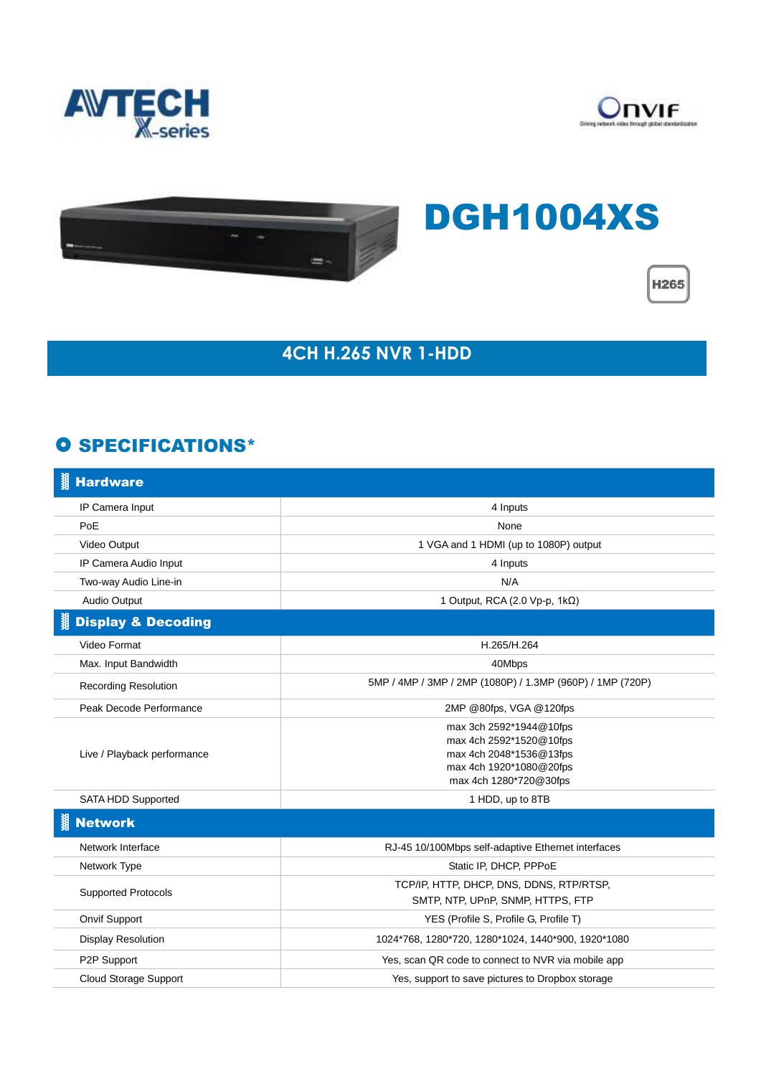





## DGH1004XS



## **4CH H.265 NVR 1-HDD**

## **O SPECIFICATIONS\***

| 關<br><b>Hardware</b>          |                                                                                                                                    |
|-------------------------------|------------------------------------------------------------------------------------------------------------------------------------|
| IP Camera Input               | 4 Inputs                                                                                                                           |
| PoE                           | None                                                                                                                               |
| Video Output                  | 1 VGA and 1 HDMI (up to 1080P) output                                                                                              |
| IP Camera Audio Input         | 4 Inputs                                                                                                                           |
| Two-way Audio Line-in         | N/A                                                                                                                                |
| Audio Output                  | 1 Output, RCA (2.0 Vp-p, 1kΩ)                                                                                                      |
| <b>Display &amp; Decoding</b> |                                                                                                                                    |
| Video Format                  | H.265/H.264                                                                                                                        |
| Max. Input Bandwidth          | 40Mbps                                                                                                                             |
| <b>Recording Resolution</b>   | 5MP / 4MP / 3MP / 2MP (1080P) / 1.3MP (960P) / 1MP (720P)                                                                          |
| Peak Decode Performance       | 2MP @80fps, VGA @120fps                                                                                                            |
| Live / Playback performance   | max 3ch 2592*1944@10fps<br>max 4ch 2592*1520@10fps<br>max 4ch 2048*1536@13fps<br>max 4ch 1920*1080@20fps<br>max 4ch 1280*720@30fps |
| SATA HDD Supported            | 1 HDD, up to 8TB                                                                                                                   |
| <b>Network</b>                |                                                                                                                                    |
| Network Interface             | RJ-45 10/100Mbps self-adaptive Ethernet interfaces                                                                                 |
| Network Type                  | Static IP, DHCP, PPPoE                                                                                                             |
| <b>Supported Protocols</b>    | TCP/IP, HTTP, DHCP, DNS, DDNS, RTP/RTSP,<br>SMTP, NTP, UPnP, SNMP, HTTPS, FTP                                                      |
| Onvif Support                 | YES (Profile S, Profile G, Profile T)                                                                                              |
| <b>Display Resolution</b>     | 1024*768, 1280*720, 1280*1024, 1440*900, 1920*1080                                                                                 |
| P2P Support                   | Yes, scan QR code to connect to NVR via mobile app                                                                                 |
| Cloud Storage Support         | Yes, support to save pictures to Dropbox storage                                                                                   |